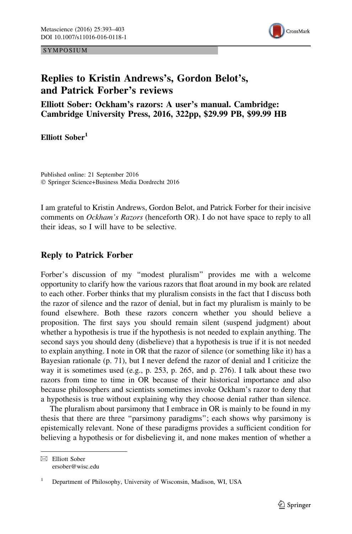**SYMPOSIUM** 



# Replies to Kristin Andrews's, Gordon Belot's, and Patrick Forber's reviews

Elliott Sober: Ockham's razors: A user's manual. Cambridge: Cambridge University Press, 2016, 322pp, \$29.99 PB, \$99.99 HB

Elliott Sober<sup>1</sup>

Published online: 21 September 2016 - Springer Science+Business Media Dordrecht 2016

I am grateful to Kristin Andrews, Gordon Belot, and Patrick Forber for their incisive comments on *Ockham's Razors* (henceforth OR). I do not have space to reply to all their ideas, so I will have to be selective.

## Reply to Patrick Forber

Forber's discussion of my ''modest pluralism'' provides me with a welcome opportunity to clarify how the various razors that float around in my book are related to each other. Forber thinks that my pluralism consists in the fact that I discuss both the razor of silence and the razor of denial, but in fact my pluralism is mainly to be found elsewhere. Both these razors concern whether you should believe a proposition. The first says you should remain silent (suspend judgment) about whether a hypothesis is true if the hypothesis is not needed to explain anything. The second says you should deny (disbelieve) that a hypothesis is true if it is not needed to explain anything. I note in OR that the razor of silence (or something like it) has a Bayesian rationale (p. 71), but I never defend the razor of denial and I criticize the way it is sometimes used (e.g., p. 253, p. 265, and p. 276). I talk about these two razors from time to time in OR because of their historical importance and also because philosophers and scientists sometimes invoke Ockham's razor to deny that a hypothesis is true without explaining why they choose denial rather than silence.

The pluralism about parsimony that I embrace in OR is mainly to be found in my thesis that there are three ''parsimony paradigms''; each shows why parsimony is epistemically relevant. None of these paradigms provides a sufficient condition for believing a hypothesis or for disbelieving it, and none makes mention of whether a

 $\boxtimes$  Elliott Sober ersober@wisc.edu

<sup>&</sup>lt;sup>1</sup> Department of Philosophy, University of Wisconsin, Madison, WI, USA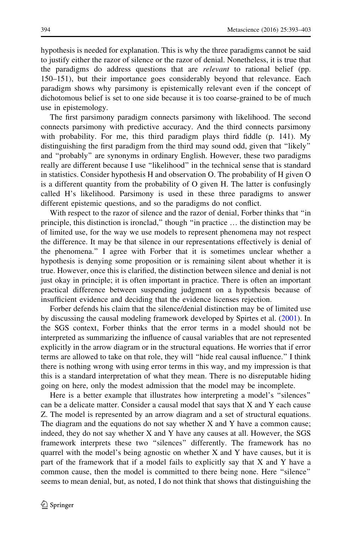hypothesis is needed for explanation. This is why the three paradigms cannot be said to justify either the razor of silence or the razor of denial. Nonetheless, it is true that the paradigms do address questions that are *relevant* to rational belief (pp. 150–151), but their importance goes considerably beyond that relevance. Each paradigm shows why parsimony is epistemically relevant even if the concept of dichotomous belief is set to one side because it is too coarse-grained to be of much use in epistemology.

The first parsimony paradigm connects parsimony with likelihood. The second connects parsimony with predictive accuracy. And the third connects parsimony with probability. For me, this third paradigm plays third fiddle (p. 141). My distinguishing the first paradigm from the third may sound odd, given that ''likely'' and ''probably'' are synonyms in ordinary English. However, these two paradigms really are different because I use ''likelihood'' in the technical sense that is standard in statistics. Consider hypothesis H and observation O. The probability of H given O is a different quantity from the probability of O given H. The latter is confusingly called H's likelihood. Parsimony is used in these three paradigms to answer different epistemic questions, and so the paradigms do not conflict.

With respect to the razor of silence and the razor of denial, Forber thinks that ''in principle, this distinction is ironclad,'' though ''in practice … the distinction may be of limited use, for the way we use models to represent phenomena may not respect the difference. It may be that silence in our representations effectively is denial of the phenomena.'' I agree with Forber that it is sometimes unclear whether a hypothesis is denying some proposition or is remaining silent about whether it is true. However, once this is clarified, the distinction between silence and denial is not just okay in principle; it is often important in practice. There is often an important practical difference between suspending judgment on a hypothesis because of insufficient evidence and deciding that the evidence licenses rejection.

Forber defends his claim that the silence/denial distinction may be of limited use by discussing the causal modeling framework developed by Spirtes et al. [\(2001](#page-10-0)). In the SGS context, Forber thinks that the error terms in a model should not be interpreted as summarizing the influence of causal variables that are not represented explicitly in the arrow diagram or in the structural equations. He worries that if error terms are allowed to take on that role, they will ''hide real causal influence.'' I think there is nothing wrong with using error terms in this way, and my impression is that this is a standard interpretation of what they mean. There is no disreputable hiding going on here, only the modest admission that the model may be incomplete.

Here is a better example that illustrates how interpreting a model's ''silences'' can be a delicate matter. Consider a causal model that says that X and Y each cause Z. The model is represented by an arrow diagram and a set of structural equations. The diagram and the equations do not say whether X and Y have a common cause; indeed, they do not say whether X and Y have any causes at all. However, the SGS framework interprets these two ''silences'' differently. The framework has no quarrel with the model's being agnostic on whether X and Y have causes, but it is part of the framework that if a model fails to explicitly say that X and Y have a common cause, then the model is committed to there being none. Here ''silence'' seems to mean denial, but, as noted, I do not think that shows that distinguishing the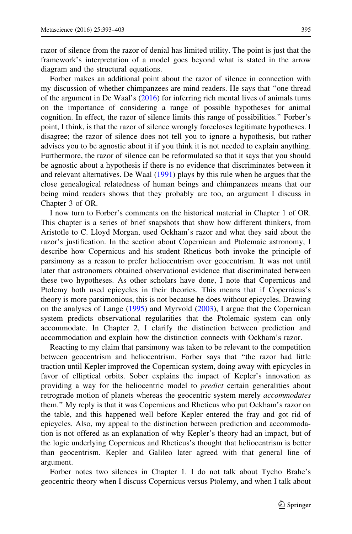razor of silence from the razor of denial has limited utility. The point is just that the framework's interpretation of a model goes beyond what is stated in the arrow diagram and the structural equations.

Forber makes an additional point about the razor of silence in connection with my discussion of whether chimpanzees are mind readers. He says that ''one thread of the argument in De Waal's [\(2016](#page-9-0)) for inferring rich mental lives of animals turns on the importance of considering a range of possible hypotheses for animal cognition. In effect, the razor of silence limits this range of possibilities.'' Forber's point, I think, is that the razor of silence wrongly forecloses legitimate hypotheses. I disagree; the razor of silence does not tell you to ignore a hypothesis, but rather advises you to be agnostic about it if you think it is not needed to explain anything. Furthermore, the razor of silence can be reformulated so that it says that you should be agnostic about a hypothesis if there is no evidence that discriminates between it and relevant alternatives. De Waal ([1991\)](#page-9-0) plays by this rule when he argues that the close genealogical relatedness of human beings and chimpanzees means that our being mind readers shows that they probably are too, an argument I discuss in Chapter 3 of OR.

I now turn to Forber's comments on the historical material in Chapter 1 of OR. This chapter is a series of brief snapshots that show how different thinkers, from Aristotle to C. Lloyd Morgan, used Ockham's razor and what they said about the razor's justification. In the section about Copernican and Ptolemaic astronomy, I describe how Copernicus and his student Rheticus both invoke the principle of parsimony as a reason to prefer heliocentrism over geocentrism. It was not until later that astronomers obtained observational evidence that discriminated between these two hypotheses. As other scholars have done, I note that Copernicus and Ptolemy both used epicycles in their theories. This means that if Copernicus's theory is more parsimonious, this is not because he does without epicycles. Drawing on the analyses of Lange ([1995\)](#page-9-0) and Myrvold ([2003\)](#page-9-0), I argue that the Copernican system predicts observational regularities that the Ptolemaic system can only accommodate. In Chapter 2, I clarify the distinction between prediction and accommodation and explain how the distinction connects with Ockham's razor.

Reacting to my claim that parsimony was taken to be relevant to the competition between geocentrism and heliocentrism, Forber says that ''the razor had little traction until Kepler improved the Copernican system, doing away with epicycles in favor of elliptical orbits. Sober explains the impact of Kepler's innovation as providing a way for the heliocentric model to predict certain generalities about retrograde motion of planets whereas the geocentric system merely *accommodates* them.'' My reply is that it was Copernicus and Rheticus who put Ockham's razor on the table, and this happened well before Kepler entered the fray and got rid of epicycles. Also, my appeal to the distinction between prediction and accommodation is not offered as an explanation of why Kepler's theory had an impact, but of the logic underlying Copernicus and Rheticus's thought that heliocentrism is better than geocentrism. Kepler and Galileo later agreed with that general line of argument.

Forber notes two silences in Chapter 1. I do not talk about Tycho Brahe's geocentric theory when I discuss Copernicus versus Ptolemy, and when I talk about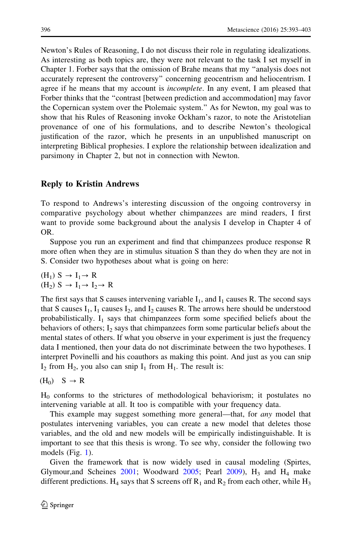Newton's Rules of Reasoning, I do not discuss their role in regulating idealizations. As interesting as both topics are, they were not relevant to the task I set myself in Chapter 1. Forber says that the omission of Brahe means that my ''analysis does not accurately represent the controversy'' concerning geocentrism and heliocentrism. I agree if he means that my account is *incomplete*. In any event, I am pleased that Forber thinks that the ''contrast [between prediction and accommodation] may favor the Copernican system over the Ptolemaic system.'' As for Newton, my goal was to show that his Rules of Reasoning invoke Ockham's razor, to note the Aristotelian provenance of one of his formulations, and to describe Newton's theological justification of the razor, which he presents in an unpublished manuscript on interpreting Biblical prophesies. I explore the relationship between idealization and parsimony in Chapter 2, but not in connection with Newton.

### Reply to Kristin Andrews

To respond to Andrews's interesting discussion of the ongoing controversy in comparative psychology about whether chimpanzees are mind readers, I first want to provide some background about the analysis I develop in Chapter 4 of OR.

Suppose you run an experiment and find that chimpanzees produce response R more often when they are in stimulus situation S than they do when they are not in S. Consider two hypotheses about what is going on here:

 $(H_1) S \rightarrow I_1 \rightarrow R$  $(H_2) S \rightarrow I_1 \rightarrow I_2 \rightarrow R$ 

The first says that S causes intervening variable  $I_1$ , and  $I_1$  causes R. The second says that S causes  $I_1$ ,  $I_1$  causes  $I_2$ , and  $I_2$  causes R. The arrows here should be understood probabilistically.  $I_1$  says that chimpanzees form some specified beliefs about the behaviors of others;  $I_2$  says that chimpanzees form some particular beliefs about the mental states of others. If what you observe in your experiment is just the frequency data I mentioned, then your data do not discriminate between the two hypotheses. I interpret Povinelli and his coauthors as making this point. And just as you can snip  $I_2$  from  $H_2$ , you also can snip  $I_1$  from  $H_1$ . The result is:

$$
(H_0) \quad S \to R
$$

 $H_0$  conforms to the strictures of methodological behaviorism; it postulates no intervening variable at all. It too is compatible with your frequency data.

This example may suggest something more general—that, for *any* model that postulates intervening variables, you can create a new model that deletes those variables, and the old and new models will be empirically indistinguishable. It is important to see that this thesis is wrong. To see why, consider the following two models (Fig. [1\)](#page-4-0).

Given the framework that is now widely used in causal modeling (Spirtes, Glymour, and Scheines [2001](#page-10-0); Woodward [2005](#page-10-0); Pearl [2009\)](#page-9-0),  $H_3$  and  $H_4$  make different predictions. H<sub>4</sub> says that S screens off  $R_1$  and  $R_2$  from each other, while H<sub>3</sub>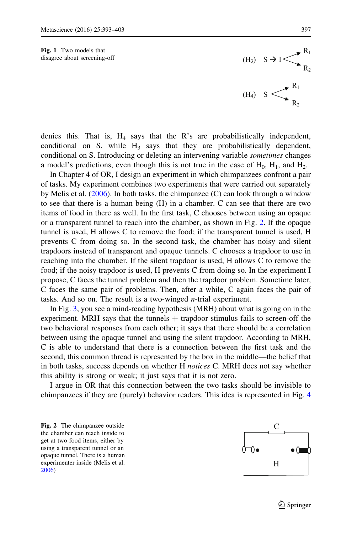<span id="page-4-0"></span>Fig. 1 Two models that disagree about screening-off



In Chapter 4 of OR, I design an experiment in which chimpanzees confront a pair of tasks. My experiment combines two experiments that were carried out separately by Melis et al.  $(2006)$  $(2006)$ . In both tasks, the chimpanzee (C) can look through a window to see that there is a human being (H) in a chamber. C can see that there are two items of food in there as well. In the first task, C chooses between using an opaque or a transparent tunnel to reach into the chamber, as shown in Fig. 2. If the opaque tunnel is used, H allows C to remove the food; if the transparent tunnel is used, H prevents C from doing so. In the second task, the chamber has noisy and silent trapdoors instead of transparent and opaque tunnels. C chooses a trapdoor to use in reaching into the chamber. If the silent trapdoor is used, H allows C to remove the food; if the noisy trapdoor is used, H prevents C from doing so. In the experiment I propose, C faces the tunnel problem and then the trapdoor problem. Sometime later, C faces the same pair of problems. Then, after a while, C again faces the pair of tasks. And so on. The result is a two-winged n-trial experiment.

In Fig. [3](#page-5-0), you see a mind-reading hypothesis (MRH) about what is going on in the experiment. MRH says that the tunnels  $+$  trapdoor stimulus fails to screen-off the two behavioral responses from each other; it says that there should be a correlation between using the opaque tunnel and using the silent trapdoor. According to MRH, C is able to understand that there is a connection between the first task and the second; this common thread is represented by the box in the middle—the belief that in both tasks, success depends on whether H notices C. MRH does not say whether this ability is strong or weak; it just says that it is not zero.

I argue in OR that this connection between the two tasks should be invisible to chimpanzees if they are (purely) behavior readers. This idea is represented in Fig. [4](#page-5-0)

Fig. 2 The chimpanzee outside the chamber can reach inside to get at two food items, either by using a transparent tunnel or an opaque tunnel. There is a human experimenter inside (Melis et al. [2006\)](#page-9-0)



 $\mathbb{R}^1$ 

 $R_2$ 

 $R_1$ 

 $R_2$ 

 $(H_3)$  S  $\rightarrow$  I

 $(H_4)$  S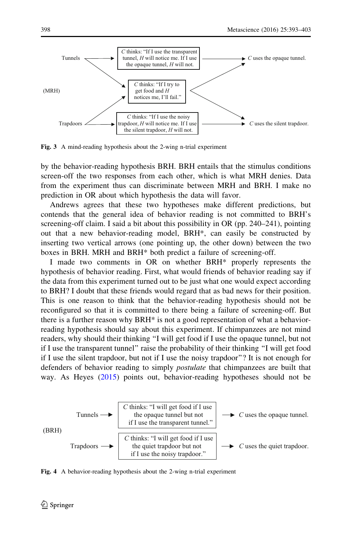<span id="page-5-0"></span>

Fig. 3 A mind-reading hypothesis about the 2-wing n-trial experiment

by the behavior-reading hypothesis BRH. BRH entails that the stimulus conditions screen-off the two responses from each other, which is what MRH denies. Data from the experiment thus can discriminate between MRH and BRH. I make no prediction in OR about which hypothesis the data will favor.

Andrews agrees that these two hypotheses make different predictions, but contends that the general idea of behavior reading is not committed to BRH's screening-off claim. I said a bit about this possibility in OR (pp. 240–241), pointing out that a new behavior-reading model, BRH\*, can easily be constructed by inserting two vertical arrows (one pointing up, the other down) between the two boxes in BRH. MRH and BRH\* both predict a failure of screening-off.

I made two comments in OR on whether BRH\* properly represents the hypothesis of behavior reading. First, what would friends of behavior reading say if the data from this experiment turned out to be just what one would expect according to BRH? I doubt that these friends would regard that as bad news for their position. This is one reason to think that the behavior-reading hypothesis should not be reconfigured so that it is committed to there being a failure of screening-off. But there is a further reason why BRH\* is not a good representation of what a behaviorreading hypothesis should say about this experiment. If chimpanzees are not mind readers, why should their thinking ''I will get food if I use the opaque tunnel, but not if I use the transparent tunnel'' raise the probability of their thinking ''I will get food if I use the silent trapdoor, but not if I use the noisy trapdoor''? It is not enough for defenders of behavior reading to simply *postulate* that chimpanzees are built that way. As Heyes ([2015\)](#page-9-0) points out, behavior-reading hypotheses should not be



Fig. 4 A behavior-reading hypothesis about the 2-wing n-trial experiment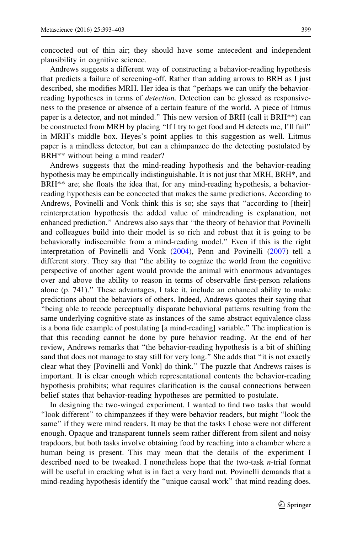concocted out of thin air; they should have some antecedent and independent plausibility in cognitive science.

Andrews suggests a different way of constructing a behavior-reading hypothesis that predicts a failure of screening-off. Rather than adding arrows to BRH as I just described, she modifies MRH. Her idea is that ''perhaps we can unify the behaviorreading hypotheses in terms of *detection*. Detection can be glossed as responsiveness to the presence or absence of a certain feature of the world. A piece of litmus paper is a detector, and not minded.'' This new version of BRH (call it BRH\*\*) can be constructed from MRH by placing ''If I try to get food and H detects me, I'll fail'' in MRH's middle box. Heyes's point applies to this suggestion as well. Litmus paper is a mindless detector, but can a chimpanzee do the detecting postulated by BRH\*\* without being a mind reader?

Andrews suggests that the mind-reading hypothesis and the behavior-reading hypothesis may be empirically indistinguishable. It is not just that MRH, BRH\*, and BRH\*\* are; she floats the idea that, for any mind-reading hypothesis, a behaviorreading hypothesis can be concocted that makes the same predictions. According to Andrews, Povinelli and Vonk think this is so; she says that ''according to [their] reinterpretation hypothesis the added value of mindreading is explanation, not enhanced prediction.'' Andrews also says that ''the theory of behavior that Povinelli and colleagues build into their model is so rich and robust that it is going to be behaviorally indiscernible from a mind-reading model.'' Even if this is the right interpretation of Povinelli and Vonk [\(2004](#page-9-0)), Penn and Povinelli [\(2007](#page-9-0)) tell a different story. They say that ''the ability to cognize the world from the cognitive perspective of another agent would provide the animal with enormous advantages over and above the ability to reason in terms of observable first-person relations alone (p. 741).'' These advantages, I take it, include an enhanced ability to make predictions about the behaviors of others. Indeed, Andrews quotes their saying that ''being able to recode perceptually disparate behavioral patterns resulting from the same underlying cognitive state as instances of the same abstract equivalence class is a bona fide example of postulating [a mind-reading] variable.'' The implication is that this recoding cannot be done by pure behavior reading. At the end of her review, Andrews remarks that ''the behavior-reading hypothesis is a bit of shifting sand that does not manage to stay still for very long.'' She adds that ''it is not exactly clear what they [Povinelli and Vonk] do think.'' The puzzle that Andrews raises is important. It is clear enough which representational contents the behavior-reading hypothesis prohibits; what requires clarification is the causal connections between belief states that behavior-reading hypotheses are permitted to postulate.

In designing the two-winged experiment, I wanted to find two tasks that would ''look different'' to chimpanzees if they were behavior readers, but might ''look the same'' if they were mind readers. It may be that the tasks I chose were not different enough. Opaque and transparent tunnels seem rather different from silent and noisy trapdoors, but both tasks involve obtaining food by reaching into a chamber where a human being is present. This may mean that the details of the experiment I described need to be tweaked. I nonetheless hope that the two-task  $n$ -trial format will be useful in cracking what is in fact a very hard nut. Povinelli demands that a mind-reading hypothesis identify the ''unique causal work'' that mind reading does.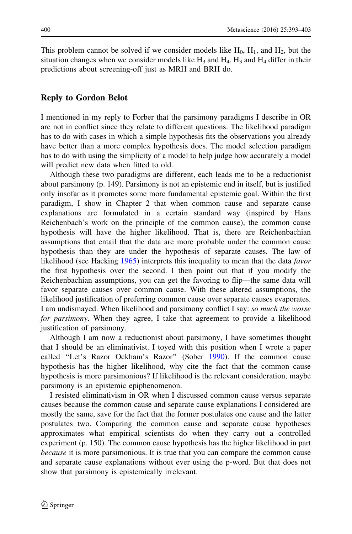This problem cannot be solved if we consider models like  $H_0$ ,  $H_1$ , and  $H_2$ , but the situation changes when we consider models like  $H_3$  and  $H_4$ .  $H_3$  and  $H_4$  differ in their predictions about screening-off just as MRH and BRH do.

#### Reply to Gordon Belot

I mentioned in my reply to Forber that the parsimony paradigms I describe in OR are not in conflict since they relate to different questions. The likelihood paradigm has to do with cases in which a simple hypothesis fits the observations you already have better than a more complex hypothesis does. The model selection paradigm has to do with using the simplicity of a model to help judge how accurately a model will predict new data when fitted to old.

Although these two paradigms are different, each leads me to be a reductionist about parsimony (p. 149). Parsimony is not an epistemic end in itself, but is justified only insofar as it promotes some more fundamental epistemic goal. Within the first paradigm, I show in Chapter 2 that when common cause and separate cause explanations are formulated in a certain standard way (inspired by Hans Reichenbach's work on the principle of the common cause), the common cause hypothesis will have the higher likelihood. That is, there are Reichenbachian assumptions that entail that the data are more probable under the common cause hypothesis than they are under the hypothesis of separate causes. The law of likelihood (see Hacking [1965\)](#page-9-0) interprets this inequality to mean that the data *favor* the first hypothesis over the second. I then point out that if you modify the Reichenbachian assumptions, you can get the favoring to flip—the same data will favor separate causes over common cause. With these altered assumptions, the likelihood justification of preferring common cause over separate causes evaporates. I am undismayed. When likelihood and parsimony conflict I say: so much the worse for parsimony. When they agree, I take that agreement to provide a likelihood justification of parsimony.

Although I am now a reductionist about parsimony, I have sometimes thought that I should be an eliminativist. I toyed with this position when I wrote a paper called ''Let's Razor Ockham's Razor'' (Sober [1990\)](#page-9-0). If the common cause hypothesis has the higher likelihood, why cite the fact that the common cause hypothesis is more parsimonious? If likelihood is the relevant consideration, maybe parsimony is an epistemic epiphenomenon.

I resisted eliminativism in OR when I discussed common cause versus separate causes because the common cause and separate cause explanations I considered are mostly the same, save for the fact that the former postulates one cause and the latter postulates two. Comparing the common cause and separate cause hypotheses approximates what empirical scientists do when they carry out a controlled experiment (p. 150). The common cause hypothesis has the higher likelihood in part because it is more parsimonious. It is true that you can compare the common cause and separate cause explanations without ever using the p-word. But that does not show that parsimony is epistemically irrelevant.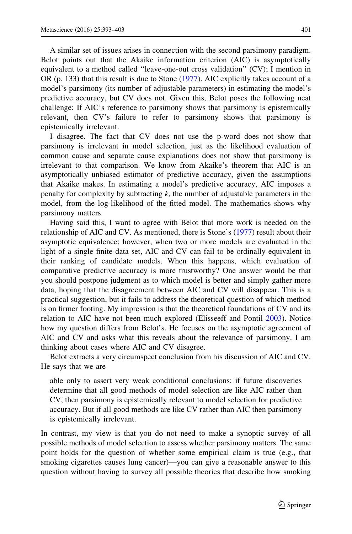A similar set of issues arises in connection with the second parsimony paradigm. Belot points out that the Akaike information criterion (AIC) is asymptotically equivalent to a method called ''leave-one-out cross validation'' (CV); I mention in OR (p. 133) that this result is due to Stone [\(1977](#page-10-0)). AIC explicitly takes account of a model's parsimony (its number of adjustable parameters) in estimating the model's predictive accuracy, but CV does not. Given this, Belot poses the following neat challenge: If AIC's reference to parsimony shows that parsimony is epistemically relevant, then CV's failure to refer to parsimony shows that parsimony is epistemically irrelevant.

I disagree. The fact that CV does not use the p-word does not show that parsimony is irrelevant in model selection, just as the likelihood evaluation of common cause and separate cause explanations does not show that parsimony is irrelevant to that comparison. We know from Akaike's theorem that AIC is an asymptotically unbiased estimator of predictive accuracy, given the assumptions that Akaike makes. In estimating a model's predictive accuracy, AIC imposes a penalty for complexity by subtracting  $k$ , the number of adjustable parameters in the model, from the log-likelihood of the fitted model. The mathematics shows why parsimony matters.

Having said this, I want to agree with Belot that more work is needed on the relationship of AIC and CV. As mentioned, there is Stone's ([1977\)](#page-10-0) result about their asymptotic equivalence; however, when two or more models are evaluated in the light of a single finite data set, AIC and CV can fail to be ordinally equivalent in their ranking of candidate models. When this happens, which evaluation of comparative predictive accuracy is more trustworthy? One answer would be that you should postpone judgment as to which model is better and simply gather more data, hoping that the disagreement between AIC and CV will disappear. This is a practical suggestion, but it fails to address the theoretical question of which method is on firmer footing. My impression is that the theoretical foundations of CV and its relation to AIC have not been much explored (Elisseeff and Pontil [2003](#page-9-0)). Notice how my question differs from Belot's. He focuses on the asymptotic agreement of AIC and CV and asks what this reveals about the relevance of parsimony. I am thinking about cases where AIC and CV disagree.

Belot extracts a very circumspect conclusion from his discussion of AIC and CV. He says that we are

able only to assert very weak conditional conclusions: if future discoveries determine that all good methods of model selection are like AIC rather than CV, then parsimony is epistemically relevant to model selection for predictive accuracy. But if all good methods are like CV rather than AIC then parsimony is epistemically irrelevant.

In contrast, my view is that you do not need to make a synoptic survey of all possible methods of model selection to assess whether parsimony matters. The same point holds for the question of whether some empirical claim is true (e.g., that smoking cigarettes causes lung cancer)—you can give a reasonable answer to this question without having to survey all possible theories that describe how smoking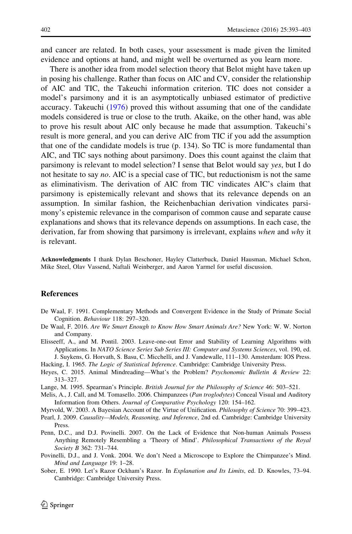<span id="page-9-0"></span>and cancer are related. In both cases, your assessment is made given the limited evidence and options at hand, and might well be overturned as you learn more.

There is another idea from model selection theory that Belot might have taken up in posing his challenge. Rather than focus on AIC and CV, consider the relationship of AIC and TIC, the Takeuchi information criterion. TIC does not consider a model's parsimony and it is an asymptotically unbiased estimator of predictive accuracy. Takeuchi [\(1976](#page-10-0)) proved this without assuming that one of the candidate models considered is true or close to the truth. Akaike, on the other hand, was able to prove his result about AIC only because he made that assumption. Takeuchi's result is more general, and you can derive AIC from TIC if you add the assumption that one of the candidate models is true (p. 134). So TIC is more fundamental than AIC, and TIC says nothing about parsimony. Does this count against the claim that parsimony is relevant to model selection? I sense that Belot would say yes, but I do not hesitate to say no. AIC is a special case of TIC, but reductionism is not the same as eliminativism. The derivation of AIC from TIC vindicates AIC's claim that parsimony is epistemically relevant and shows that its relevance depends on an assumption. In similar fashion, the Reichenbachian derivation vindicates parsimony's epistemic relevance in the comparison of common cause and separate cause explanations and shows that its relevance depends on assumptions. In each case, the derivation, far from showing that parsimony is irrelevant, explains when and why it is relevant.

Acknowledgments I thank Dylan Beschoner, Hayley Clatterbuck, Daniel Hausman, Michael Schon, Mike Steel, Olav Vassend, Naftali Weinberger, and Aaron Yarmel for useful discussion.

#### References

- De Waal, F. 1991. Complementary Methods and Convergent Evidence in the Study of Primate Social Cognition. Behaviour 118: 297–320.
- De Waal, F. 2016. Are We Smart Enough to Know How Smart Animals Are? New York: W. W. Norton and Company.

Elisseeff, A., and M. Pontil. 2003. Leave-one-out Error and Stability of Learning Algorithms with Applications. In NATO Science Series Sub Series III: Computer and Systems Sciences, vol. 190, ed. J. Suykens, G. Horvath, S. Basu, C. Micchelli, and J. Vandewalle, 111–130. Amsterdam: IOS Press.

Hacking, I. 1965. The Logic of Statistical Inference. Cambridge: Cambridge University Press.

- Heyes, C. 2015. Animal Mindreading—What's the Problem? Psychonomic Bulletin & Review 22: 313–327.
- Lange, M. 1995. Spearman's Principle. British Journal for the Philosophy of Science 46: 503–521.
- Melis, A., J. Call, and M. Tomasello. 2006. Chimpanzees (*Pan troglodytes*) Conceal Visual and Auditory Information from Others. Journal of Comparative Psychology 120: 154–162.
- Myrvold, W. 2003. A Bayesian Account of the Virtue of Unification. Philosophy of Science 70: 399–423.
- Pearl, J. 2009. Causality—Models, Reasoning, and Inference, 2nd ed. Cambridge: Cambridge University Press.
- Penn, D.C., and D.J. Povinelli. 2007. On the Lack of Evidence that Non-human Animals Possess Anything Remotely Resembling a 'Theory of Mind'. Philosophical Transactions of the Royal Society B 362: 731–744.
- Povinelli, D.J., and J. Vonk. 2004. We don't Need a Microscope to Explore the Chimpanzee's Mind. Mind and Language 19: 1–28.
- Sober, E. 1990. Let's Razor Ockham's Razor. In Explanation and Its Limits, ed. D. Knowles, 73–94. Cambridge: Cambridge University Press.